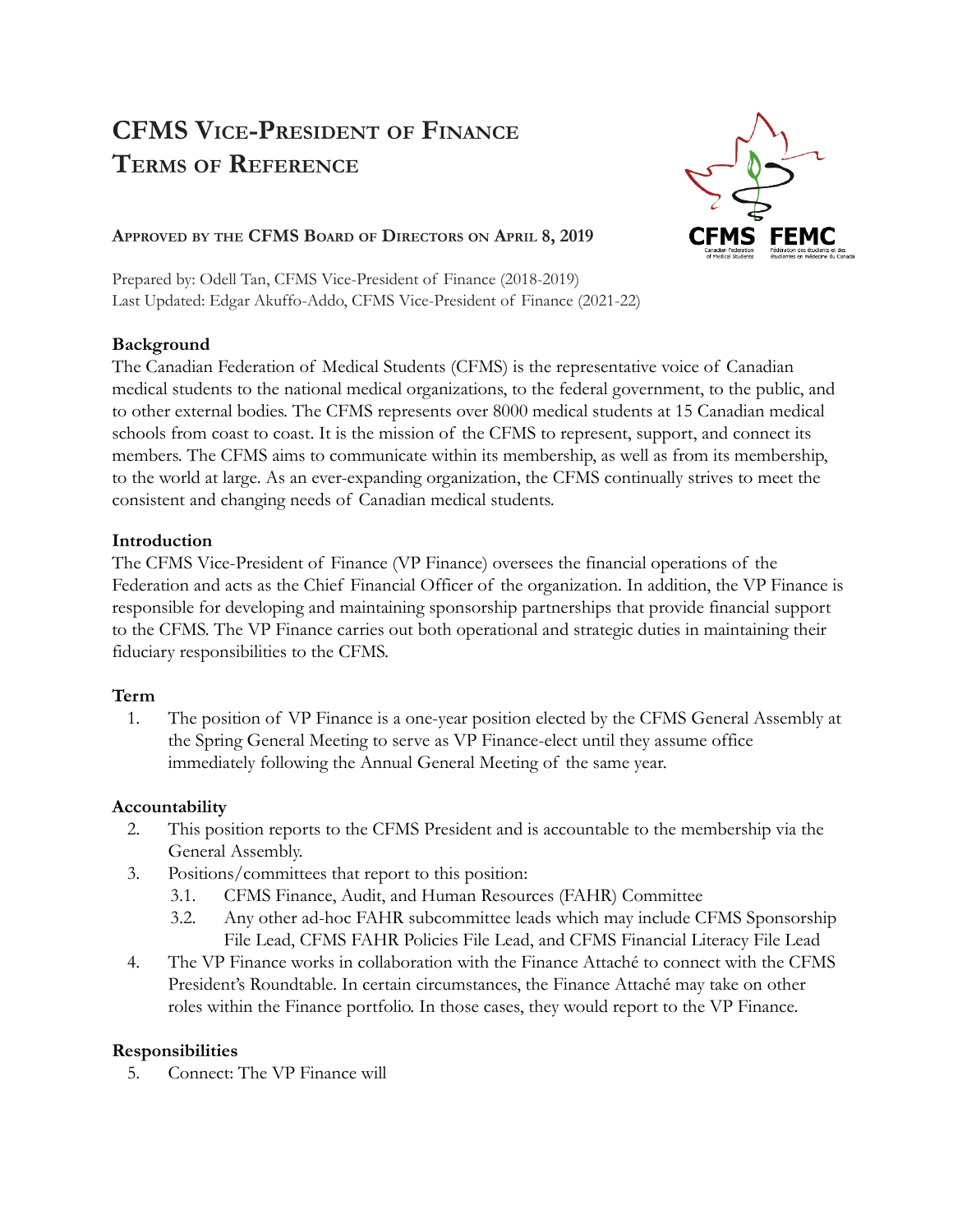# **CFMS VICE-PRESIDENT OF FINANCE TERMS OF REFERENCE**



#### **APPROVED BY THE CFMS BOARD OF DIRECTORS ON APRIL 8, 2019**

Prepared by: Odell Tan, CFMS Vice-President of Finance (2018-2019) Last Updated: Edgar Akuffo-Addo, CFMS Vice-President of Finance (2021-22)

#### **Background**

The Canadian Federation of Medical Students (CFMS) is the representative voice of Canadian medical students to the national medical organizations, to the federal government, to the public, and to other external bodies. The CFMS represents over 8000 medical students at 15 Canadian medical schools from coast to coast. It is the mission of the CFMS to represent, support, and connect its members. The CFMS aims to communicate within its membership, as well as from its membership, to the world at large. As an ever-expanding organization, the CFMS continually strives to meet the consistent and changing needs of Canadian medical students.

### **Introduction**

The CFMS Vice-President of Finance (VP Finance) oversees the financial operations of the Federation and acts as the Chief Financial Officer of the organization. In addition, the VP Finance is responsible for developing and maintaining sponsorship partnerships that provide financial support to the CFMS. The VP Finance carries out both operational and strategic duties in maintaining their fiduciary responsibilities to the CFMS.

## **Term**

1. The position of VP Finance is a one-year position elected by the CFMS General Assembly at the Spring General Meeting to serve as VP Finance-elect until they assume office immediately following the Annual General Meeting of the same year.

## **Accountability**

- 2. This position reports to the CFMS President and is accountable to the membership via the General Assembly.
- 3. Positions/committees that report to this position:
	- 3.1. CFMS Finance, Audit, and Human Resources (FAHR) Committee
	- 3.2. Any other ad-hoc FAHR subcommittee leads which may include CFMS Sponsorship File Lead, CFMS FAHR Policies File Lead, and CFMS Financial Literacy File Lead
- 4. The VP Finance works in collaboration with the Finance Attaché to connect with the CFMS President's Roundtable. In certain circumstances, the Finance Attaché may take on other roles within the Finance portfolio. In those cases, they would report to the VP Finance.

## **Responsibilities**

5. Connect: The VP Finance will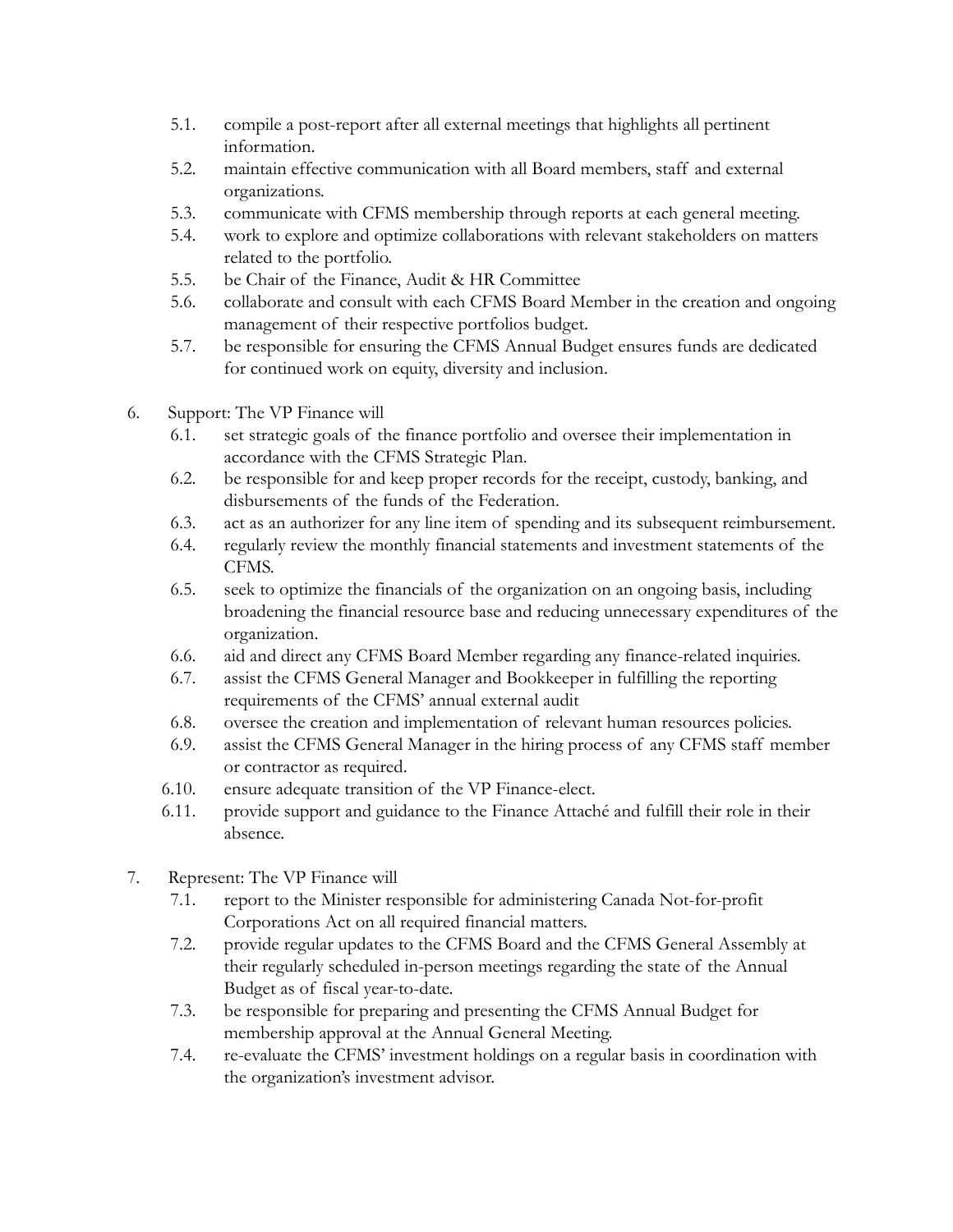- 5.1. compile a post-report after all external meetings that highlights all pertinent information.
- 5.2. maintain effective communication with all Board members, staff and external organizations.
- 5.3. communicate with CFMS membership through reports at each general meeting.
- 5.4. work to explore and optimize collaborations with relevant stakeholders on matters related to the portfolio.
- 5.5. be Chair of the Finance, Audit & HR Committee
- 5.6. collaborate and consult with each CFMS Board Member in the creation and ongoing management of their respective portfolios budget.
- 5.7. be responsible for ensuring the CFMS Annual Budget ensures funds are dedicated for continued work on equity, diversity and inclusion.
- 6. Support: The VP Finance will
	- 6.1. set strategic goals of the finance portfolio and oversee their implementation in accordance with the CFMS Strategic Plan.
	- 6.2. be responsible for and keep proper records for the receipt, custody, banking, and disbursements of the funds of the Federation.
	- 6.3. act as an authorizer for any line item of spending and its subsequent reimbursement.
	- 6.4. regularly review the monthly financial statements and investment statements of the CFMS.
	- 6.5. seek to optimize the financials of the organization on an ongoing basis, including broadening the financial resource base and reducing unnecessary expenditures of the organization.
	- 6.6. aid and direct any CFMS Board Member regarding any finance-related inquiries.
	- 6.7. assist the CFMS General Manager and Bookkeeper in fulfilling the reporting requirements of the CFMS' annual external audit
	- 6.8. oversee the creation and implementation of relevant human resources policies.
	- 6.9. assist the CFMS General Manager in the hiring process of any CFMS staff member or contractor as required.
	- 6.10. ensure adequate transition of the VP Finance-elect.
	- 6.11. provide support and guidance to the Finance Attaché and fulfill their role in their absence.
- 7. Represent: The VP Finance will
	- 7.1. report to the Minister responsible for administering Canada Not-for-profit Corporations Act on all required financial matters.
	- 7.2. provide regular updates to the CFMS Board and the CFMS General Assembly at their regularly scheduled in-person meetings regarding the state of the Annual Budget as of fiscal year-to-date.
	- 7.3. be responsible for preparing and presenting the CFMS Annual Budget for membership approval at the Annual General Meeting.
	- 7.4. re-evaluate the CFMS' investment holdings on a regular basis in coordination with the organization's investment advisor.